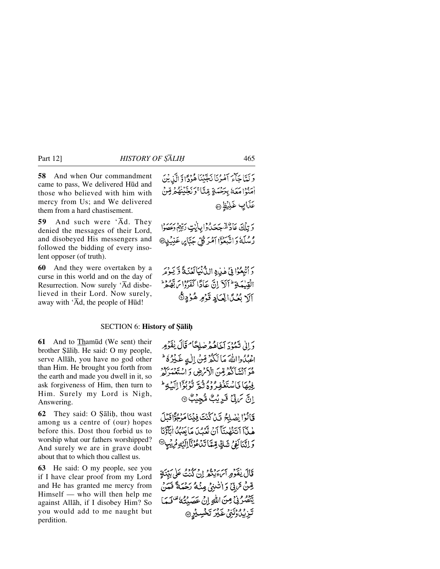**58** And when Our commandment came to pass, We delivered Hūd and those who believed with him with mercy from Us; and We delivered them from a hard chastisement.

**59** And such were 'Åd. They denied the messages of their Lord, and disobeyed His messengers and followed the bidding of every insolent opposer (of truth).

**60** And they were overtaken by a curse in this world and on the day of Resurrection. Now surely 'Åd disbelieved in their Lord. Now surely, away with 'Ād, the people of Hūd!

وَلَمَّا جَأْمَ آَمُرُنَا نَجَّيْنَا هُوُدًّا وَ الَّذِيْنَ امَنْوْا مَعَهُ بِيَحْمَةٍ مِّنَّا ۚ وَنَجَّيْنُهُ مِّرَبِّيْ عَذَايِبِ غَلِيْظِ @

وَتِلْكَ عَادٌ مُّجَحَدُ وَابِأَيْتِ رَبِّهِمْ وَعَصَوْا رْسُلَهُ وَاتَّبَعُوْٓا آمُرَ كُلِّ جَتَّابِهِ عَنِيۡلِهِ ۚ

5 أَتْبِعُواْ فِي هٰذِهِ اللَّهُ نِيَالَغُنَةَ وَّ يَوْمَر الْقِيلِدَ يَوْ أَكْرَ إِنَّ عَادًا كَفَرُوْاسَ بِّهُ مِرْ آلَا بُعُدًا لِعَبَادِ قَوْمِ هُوُدٍ هُ

## **SECTION 6: History of Şāliḥ**

**61** And to Thamūd (We sent) their brother Sālih. He said: O my people, serve Allåh, you have no god other than Him. He brought you forth from the earth and made you dwell in it, so ask forgiveness of Him, then turn to Him. Surely my Lord is Nigh, Answering.

**62** They said: O Salih, thou wast among us a centre of (our) hopes before this. Dost thou forbid us to worship what our fathers worshipped? And surely we are in grave doubt about that to which thou callest us.

**63** He said: O my people, see you if I have clear proof from my Lord and He has granted me mercy from Himself — who will then help me against Allåh, if I disobey Him? So you would add to me naught but perdition.

دَ إِنِي نَهْدُدَ أَخَاهُهُ صَلِحًا مُخَالَ يُقَوِّمِهِ اعْبُدُوااللَّهُ مَا لَكُمْ قِنْ إِلٰهٍ غَيْرُهُ ۖ هُوَ ٱنْشَأَكْثَرَقِينَ الْأَمْرِضِ وَ اسْتَعْبَدَكُمْ فِينِهَا فَاسْتَغْفِرُوهُ ثُبُّهِ تَوْبُوْا إِلَيْهِ ۖ إِنَّ تَرَبِّيٌ قَرِيُبُ مُّجِيْبُ ۞

فَالْوَا لِصْلِحْ قَيْنَ كُنْتَ فِينَا مَرْجُوًّا قَبْلَ هٰذَآ أَتَنَهُبِنَآ أَنْ تَعَبِّدَ مَا يَعَبُدُ أَيَآؤُنَا وَلِنَّنَاكِفِيُّ شَكِّ قِمَّا تَدْعُوْنَآ الَّذِي شَرِيقٍ @

قَالَ يٰقَوْمِ ٱلرَّجَيْنُمُ إِنْ كُنْتُ عَلَى بَيِّنَةٍ قِنْ تَرَبِّي وَ اللَّذِي مِنْهُ رَحْمَةً فَمَنْ يَّنْصُرُنِيِّ مِنَ اللَّهِ إِنْ عَصَيْتُهُ مِّنْ يَمَا تَزِيْدُوْنَنِى غَيْرَ تَخْسِيْرٍ ٩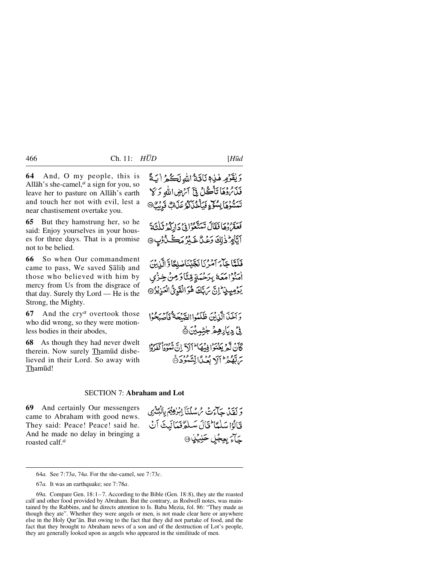**64** And, O my people, this is Allāh's she-camel, $<sup>a</sup>$  a sign for you, so</sup> leave her to pasture on Allåh's earth and touch her not with evil, lest a near chastisement overtake you.

**65** But they hamstrung her, so he said: Enjoy yourselves in your houses for three days. That is a promise not to be belied.

**66** So when Our commandment came to pass, We saved Şālih and those who believed with him by mercy from Us from the disgrace of that day. Surely thy Lord — He is the Strong, the Mighty.

**67** And the cry*<sup>a</sup>* overtook those who did wrong, so they were motionless bodies in their abodes,

**68** As though they had never dwelt therein. Now surely Thamūd disbelieved in their Lord. So away with Thamūd!

وَيُقَوَّمِهِ هٰذِهِ نَاقَةُ اللهِ لَكُمُ أَبَةً بِهِ وَمِمَا تَأْكُّلُ فِيَّ أَتَّهْضِ اللَّهِ وَكَلَّ تَسَسَّوُهَا بِسُوِّءٍ فَيَأْخُذَكُمْ عَذَابٌ قَرِيبٌ®

بربي وهافعًالُ تَمَتَّعُوا فِي دَارَكُمْ تَلْتَةَ اَيَّامِرٌ ذٰلِكَ وَعْنٌ خَبِيْرُ مَڪَنْ ُوْبِ ۞

فَلَعَّاجَاءَ آمَرُنَا نَجَّيْنَاصْلِحًاوَّ الَّذِينَ أُمَنُوْا مَعَهُ بِيَرَخْهَةٍ قِيَّنَا دَمِنْ خِنْزَى يَوْمِيذِ إِنَّ يَهَدَّكَ هُوَالْقَوِيُّ الْعَزِيْرُ @

وَ آخَذَ الَّذِيْنَ ظَلَمُوا الصَّبْحَةُ فَأَصْبَحُوْا ۣڹۣٛؗٙڋۑؘٳڔۿؚۣۿٙڂۭؾ۫ؠؽؘؿؖ۞ كَأَنْ لَّعْرِ يَغْنَوْا فِيهِمَا ۖ أَإِلَيْ لَا أَنَّ تَمُودُاْ كَعُرُوْا بَرَاتِيْمِهُمْ أَلَا بِعُيْدًا لِتَسْتَوْدَرَةَ

#### SECTION 7: **Abraham and Lot**

**69** And certainly Our messengers came to Abraham with good news. They said: Peace! Peace! said he. And he made no delay in bringing a roasted calf.*<sup>a</sup>*

وَ لَقَدْبِي حَيَاءَتْ سُ سُلْنَآ إِبْرٰهِيْمَ بِالْمُشْرُى قَالُوْاسَلْمَا لَتَالَ سَلَمُّ فَمَالَيْتَ آنُ <u>َ</u>حَآءَ بِعِجُلِ حَنِيَّنٍٰ۞

<sup>64</sup>*a.* See 7:73*a*, 74*a*. For the she-camel, see 7:73*c*.

<sup>67</sup>*a.* It was an earthquake; see 7:78*a*.

<sup>69</sup>*a.* Compare Gen. 18:1– 7. According to the Bible (Gen. 18:8), they ate the roasted calf and other food provided by Abraham. But the contrary, as Rodwell notes, was maintained by the Rabbins, and he directs attention to Is. Baba Mezia, fol. 86: "They made as though they ate". Whether they were angels or men, is not made clear here or anywhere else in the Holy Qur'ån. But owing to the fact that they did not partake of food, and the fact that they brought to Abraham news of a son and of the destruction of Lot's people, they are generally looked upon as angels who appeared in the similitude of men.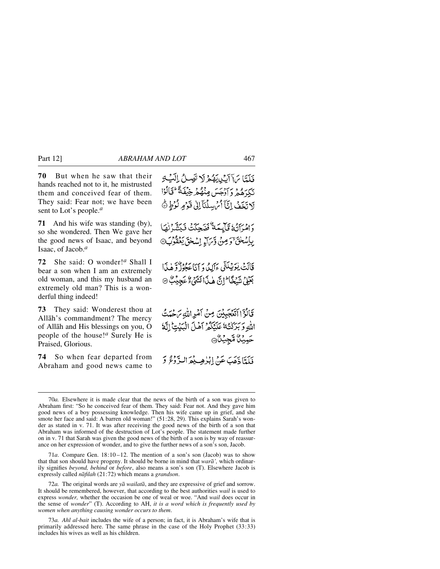**70** But when he saw that their hands reached not to it, he mistrusted them and conceived fear of them. They said: Fear not; we have been sent to Lot's people.*<sup>a</sup>*

**71** And his wife was standing (by), so she wondered. Then We gave her the good news of Isaac, and beyond Isaac, of Jacob.*<sup>a</sup>*

**72** She said: O wonder!*<sup>a</sup>* Shall I bear a son when I am an extremely old woman, and this my husband an extremely old man? This is a wonderful thing indeed!

**73** They said: Wonderest thou at Allåh's commandment? The mercy of Allåh and His blessings on you, O people of the house!*<sup>a</sup>* Surely He is Praised, Glorious.

**74** So when fear departed from Abraham and good news came to

فَلَمَّا يَا آيْدِيقُوْلَا تَصِلُ الَّيْهِ تَكِرَهُمْ وَأَدْجَسَ مِنْهُمْ خِيْفَةً لِخَالُوْا لَاتَخَفُ إِنَّاً أَمُ سِلْنَا إِلَىٰ قَرْمِ لُرُطٍ ﴾ وامراتُهُ قَابِيَمَهُ ۖ فَضَحِكَتْ فَبَشَّرْنَهَا بِإِسْحٰقَ قَوَمِنْ وَتَرَاءِ إِسْحٰقَ يَعْقُوبَ قَالَتْ يٰوَيْبِكَنِّي ءَآلِدُدوَ أَنَاعَةُوزُ وَهٰذَا بَعَيْيٌ شَيْخًا إِنَّ هٰذَا لَشَيْءٌ عَجِيْبٌ ۞ قَالَوْۤااتَّعۡجَبِيۡنَ مِنۡ أَمۡرِاللَّهِ مَ حُمَتُ اللهِ وَبَرَكْتُهُ عَلَيْكُمْ آهُلَ الْبَيْتِ إِنَّهُ حَمِيْنَ مَّجِيْنَ

فَلَتَّا ذَهَبَ عَنْ إِبْرٰهِي يُعَرَالِيَّ دُعُ 5

71*a*. Compare Gen. 18:10 –12. The mention of a son's son (Jacob) was to show that that son should have progeny. It should be borne in mind that *warå',* which ordinarily signifies *beyond, behind* or *before*, also means a son's son (T). Elsewhere Jacob is expressly called *nåfilah* (21:72) which means a *grandson*.

72*a.* The original words are *yå wailatå*, and they are expressive of grief and sorrow. It should be remembered, however, that according to the best authorities *wail* is used to express *wonder,* whether the occasion be one of weal or woe. "And *wail* does occur in the sense of *wonder*" (T). According to AH, *it is a word which is frequently used by women when anything causing wonder occurs to them*.

73*a. Ahl al-bait* includes the wife of a person; in fact, it is Abraham's wife that is primarily addressed here. The same phrase in the case of the Holy Prophet (33:33) includes his wives as well as his children.

<sup>70</sup>*a.* Elsewhere it is made clear that the news of the birth of a son was given to Abraham first: "So he conceived fear of them. They said: Fear not. And they gave him good news of a boy possessing knowledge. Then his wife came up in grief, and she smote her face and said: A barren old woman!" (51:28, 29). This explains Sarah's wonder as stated in v. 71. It was after receiving the good news of the birth of a son that Abraham was informed of the destruction of Lot's people. The statement made further on in v. 71 that Sarah was given the good news of the birth of a son is by way of reassurance on her expression of wonder, and to give the further news of a son's son, Jacob.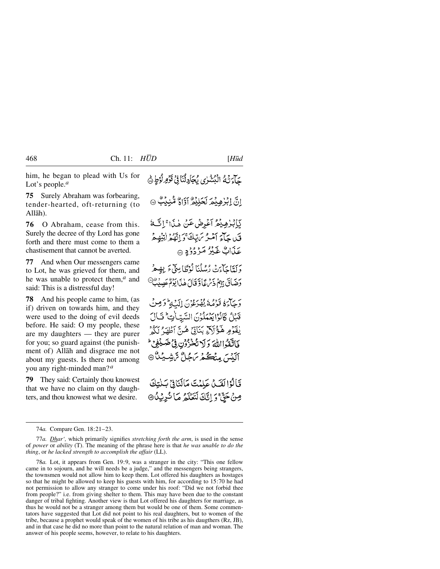him, he began to plead with Us for Lot's people.*<sup>a</sup>*

**75** Surely Abraham was forbearing, tender-hearted, oft-returning (to Allåh).

**76** O Abraham, cease from this. Surely the decree of thy Lord has gone forth and there must come to them a chastisement that cannot be averted.

**77** And when Our messengers came to Lot, he was grieved for them, and he was unable to protect them,*<sup>a</sup>* and said: This is a distressful day!

**78** And his people came to him, (as if) driven on towards him, and they were used to the doing of evil deeds before. He said: O my people, these are my daughters — they are purer for you; so guard against (the punishment of) Allåh and disgrace me not about my guests. Is there not among you any right-minded man?*<sup>a</sup>*

**79** They said: Certainly thou knowest that we have no claim on thy daughters, and thou knowest what we desire.

78*a.* Lot, it appears from Gen. 19:9, was a stranger in the city: "This one fellow came in to sojourn, and he will needs be a judge," and the messengers being strangers, the townsmen would not allow him to keep them. Lot offered his daughters as hostages so that he might be allowed to keep his guests with him, for according to 15:70 he had not permission to allow any stranger to come under his roof: "Did we not forbid thee from people?" i.e. from giving shelter to them. This may have been due to the constant danger of tribal fighting. Another view is that Lot offered his daughters for marriage, as thus he would not be a stranger among them but would be one of them. Some commentators have suggested that Lot did not point to his real daughters, but to women of the tribe, because a prophet would speak of the women of his tribe as his daugthers (Rz, JB), and in that case he did no more than point to the natural relation of man and woman. The answer of his people seems, however, to relate to his daughters.

جَآءَ نَهُمُ الْبُشْرٰى بِمُجَادِلُنَا فِي قَوْمِ لُوْطٍ ﴾

انَّ اِبْرٰ هِبْمَرِ لَحَلِيْطٌ أَوَّاجٌ مُّنِيْبٌ ۞

بَابْذِهِيْهُ آَعْدِضْ عَنْ هٰذَا ۚ إِنَّ لَمْ قَبْلِ جَأْءَ أَمْثَرُ يَرَبَّكَ وَ إِنَّهُمْ إِنَّهُمْ الَّذِهِيمُ عَلَىٰاتٌ غَيْرُ مَزْدُدُدِ ۞

وَلَعَاجَاًءَتْ رُسُلُنَا لَوْطًا بِيهِيٍّءَ بِهِيمْ وَضَاقَ بِهِمْ ذَيْرِ عَاوَّقَالَ هٰذَا يَوْمٌ عَصِيْبٌ ۖ

وَحَيَاءَ فَوَصُهُ بُقْدَءُونَ إِلَيْهِ وَصِنْ قَبْلُ كَانُوْا يَعْمَلُونَ السَّيِّاٰتِ ۚ تَالَ يْقَوْمِ هَؤُلَاءِ بَنَاتِيٌّ هُنَّ أَطْهَرُ لَكُوْ فَاتَّقَوْااللَّهَ وَلَا تُخْزُرُونِ فِي ضَيْغِي ۖ آلِنْسَ مِنْكُمْ سَجُلٌّ سَّ شِيكٌ ®

قَالُوْالِقَيْلُ عَلِمْتَ مَالَنَافِيُّ بَنْتِكَ صِنْ حَقَّ وَ إِنَّكَ لَتَعْلَّمُ مَا نُرِيْدُ®

<sup>74</sup>*a.* Compare Gen. 18:21–23.

<sup>77</sup>*a. Dhar',* which primarily signifies *stretching forth the arm*, is used in the sense of *power* or *ability* (T). The meaning of the phrase here is that *he was unable to do the thing*, or *he lacked strength to accomplish the affair* (LL).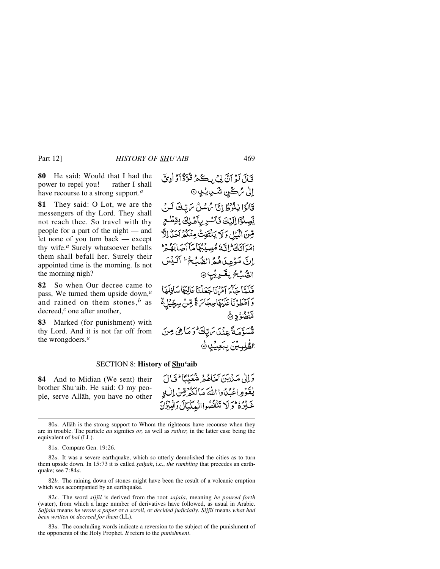**80** He said: Would that I had the power to repel you! — rather I shall have recourse to a strong support.*<sup>a</sup>*

**81** They said: O Lot, we are the messengers of thy Lord. They shall not reach thee. So travel with thy people for a part of the night — and let none of you turn back — except thy wife.*<sup>a</sup>* Surely whatsoever befalls them shall befall her. Surely their appointed time is the morning. Is not the morning nigh?

**82** So when Our decree came to pass, We turned them upside down,*<sup>a</sup>* and rained on them stones,*<sup>b</sup>* as decreed,*<sup>c</sup>* one after another,

**83** Marked (for punishment) with thy Lord. And it is not far off from the wrongdoers.*<sup>a</sup>*

قَالَ لَوْ أَنَّ بِيَ بِكُمْ قُرْةً أَوْ أُدِيَّ ٳڵ*ؽ۠ۦڷ*ڂٛڹۺۺٙۑڮڸ۞ قَالُوْا يٰلُوُطُ إِنَّا مُ سُلُ مَ تِيكَ لَنْ يَّصِلُوَٓا إِلَيْكَ فَأَسْرِ بِأَهْلِكَ بِقِظْعٍ قِينَ الْكَيْلِ وَلَا يَلْتَفِتْ مِنْكُمْ آحَلُّ إِلَّا امْرَأْتَكَ إِنَّهُ مُصِيْبُهَا مَأْأَصَابَهُ مِرْ اِنَّ مَوْعِدَهُ هُهُ الصُّبُحُ ۖ أَلَيْسَ الصُّبْحُ بِقَـٰدِيْبِ۞ فَكَتَبًا حَآءَ آمْنُ اَحْدَثْنَا عَالِيَهَا سَافِلْهَا وَآمَطُرْنَا عَلَيْهَاجِجَاسَ لَأَ مِّنْ سِجِّيْلٍ لَه ور<br>منضوّد ٥ ەسوّتەتتى ئەينىدىن تەپقى<sup>قى</sup> دىماھى مِين الظَّلِمِيْنَ بِبَعِيْدِ ﴾

#### SECTION 8: **History of Shu'aib**

**84** And to Midian (We sent) their brother Shu'aib. He said: O my people, serve Allåh, you have no other

وَإِلَىٰ مَيْدِينَ آخَاهُمْ شَعَنْنَا ۖ فَيَالَ يٰقَوۡهِ اعۡبُدُوااللَّهَ مَآلَكُهُ قِنۡ ٱلۡبِ غَيْرُهُ وَلَا تَنْقُصُواالْبِيِكِيَالَ وَالْبِيْزَانَ

81*a.* Compare Gen. 19:26.

82*a.* It was a severe earthquake, which so utterly demolished the cities as to turn them upside down. In 15:73 it is called *saihah*, i.e., *the rumbling* that precedes an earthquake; see 7:84*a*.

82*b.* The raining down of stones might have been the result of a volcanic eruption which was accompanied by an earthquake.

82*c.* The word *sijjßl* is derived from the root *sajala*, meaning *he poured forth* (water), from which a large number of derivatives have followed, as usual in Arabic. *Sajjala* means *he wrote a paper* or *a scroll*, or *decided judicially. Sijjßl* means *what had been written* or *decreed for them* (LL).

83*a.* The concluding words indicate a reversion to the subject of the punishment of the opponents of the Holy Prophet. *It* refers to the *punishment*.

<sup>80</sup>*a.* Allåh is the strong support to Whom the righteous have recourse when they are in trouble. The particle *au* signifies *or,* as well as *rather,* in the latter case being the equivalent of *bal* (LL).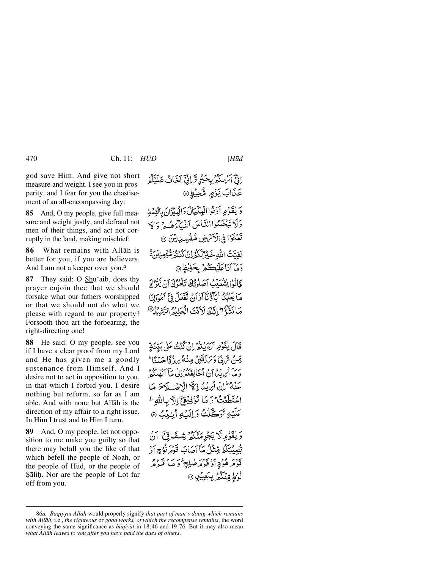god save Him. And give not short measure and weight. I see you in prosperity, and I fear for you the chastisement of an all-encompassing day:

**85** And, O my people, give full measure and weight justly, and defraud not men of their things, and act not corruptly in the land, making mischief:

**86** What remains with Allåh is better for you, if you are believers. And I am not a keeper over you.*<sup>a</sup>*

**87** They said: O Shu'aib, does thy prayer enjoin thee that we should forsake what our fathers worshipped or that we should not do what we please with regard to our property? Forsooth thou art the forbearing, the right-directing one!

**88** He said: O my people, see you if I have a clear proof from my Lord and He has given me a goodly sustenance from Himself. And I desire not to act in opposition to you, in that which I forbid you. I desire nothing but reform, so far as I am able. And with none but Allåh is the direction of my affair to a right issue. In Him I trust and to Him I turn.

**89** And, O my people, let not opposition to me make you guilty so that there may befall you the like of that which befell the people of Noah, or the people of H∂d, or the people of Sālih. Nor are the people of Lot far off from you.

قَالَ يُقَرَّمِ الرَّبِيْهِ إِنْ كُنْتُ عَلَى بَيِّنَةٍ قِبنُ تَرَبِّيٌّ وَسَأَذَقَنِيُّ مِنْهُ مِراجٌ قَا حَسَنًا ۖ دَ مَآ أَيْرِيدُ ۚ أَيۡ أَخَالِفَكُمۡ إِلَىٰ مَآ أَنۡفُٰلُوۡ ۚ عَنَّهُ إِنَّ أَيْرَيْنُ إِلَيْهِ الْأَهْسَلَاحَ مَا اسْتَطَعَتْ وَ مَا تَوْفِيُقِيِّ اِلاَّ بِاللَّهِ ۖ عَلَيْهِ تَوَكَّلْتُ وَإِلَيْهِ أَيْنِيْبُ @

وَيْقَوْمِرْلَا يَجْرِمَنَّكُمْ شِقَاتِيَ آنُ يّْصِيْبَكُمُ مِّنْتُلُ مَآ أَصَابَ قَوْمَ نُؤْجِ أَدْ قۇم قۇچ أۇقۇمۇضلىر كۆپ قىدۇر لُوُطٍ مِّنْكُمْ بِبَعِيْلٍ ۞

<sup>86</sup>*a. Baqiyyat Allåh* would properly signify *that part of man's doing which remains with Allåh*, i.e., *the righteous* or *good works, of which the recompense remains*, the word conveying the same significance as *båqiyåt* in 18:46 and 19:76. But it may also mean *what Allåh leaves to you after you have paid the dues of others*.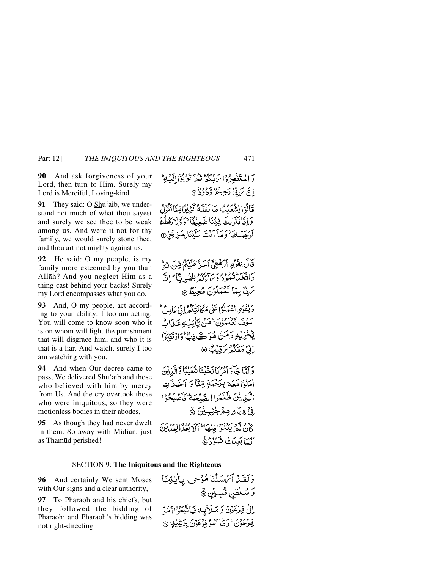**90** And ask forgiveness of your Lord, then turn to Him. Surely my Lord is Merciful, Loving-kind.

**91** They said: O Shu'aib, we understand not much of what thou sayest and surely we see thee to be weak among us. And were it not for thy family, we would surely stone thee, and thou art not mighty against us.

**92** He said: O my people, is my family more esteemed by you than Allåh? And you neglect Him as a thing cast behind your backs! Surely my Lord encompasses what you do.

**93** And, O my people, act according to your ability, I too am acting. You will come to know soon who it is on whom will light the punishment that will disgrace him, and who it is that is a liar. And watch, surely I too am watching with you.

**94** And when Our decree came to pass, We delivered Shu'aib and those who believed with him by mercy from Us. And the cry overtook those who were iniquitous, so they were motionless bodies in their abodes,

**95** As though they had never dwelt in them. So away with Midian, just as Tham∂d perished!

وَاسْتَغْفِيرُوْا يَهْدَكُمْ نَكُّرٌ نَزْبُوْ بُوْالَهِ بِمَا اِنَّ يَ لِّ رَحِيْعُ وَدَوْدٌ 9 قَالُوۡ{يَشۡعَدَبُ مَا نَفۡقَهُ كَثِيۡدَامِّيَّا يَقُوۡلُ وَإِيَّالَذَرْبِكَ فِيْنَا ضَعِيفًا ۚ وَلَؤُلَا رَفَطُكَ بَرْسَرْ لِمَا أَنْتَ عَلَّنْنَا بِعَيْزِيْزِ @

قَالَ يُفَوِّمِ أَرَهُطِيٍّ أَعَدٌّ عَلَيْكُمْ مِّنَ اللَّهِ دَاتَيْخَبْ تَنْمُوهُ وَبِرَابِرُهُ ظِهْبِرِ بِٱلْ إِنَّ سَ بِنَّ بِيمَا تَعْمَلُونَ مُجِيْظٌ ۞ وَيَقَوْمِ اعْمَلُوْۤا عَلَى مَكَانَتِكُمُّ إِنِّيْ عَامِلٌّ

سَوْقَ تَعْلَمْوُنَ لَهُمْ. تَأْتَبُ عَنَاتٌ يَّكْخَزِيْبُو دَمَنْ هُدَڪَ\ذِڻٌ دَارْتَقِيَّقَ إِنَّيْ مَعَكُم**ُ** سَقِيْتٌ ۞

وَلَمَّا جِآءَ أَمْرُنَا نَجَّيْنَا شُعَيْبًا وَّإِلَّيْ يُنَ اٰمَنُوۡٗاٰ مَعَهُٗ بِتَحۡمَةٍ مِّنَّا وَ آخَـٰنَا تِ الَّيْ يْنَ ظَلَّمُوا الصَّيْحَةُ فَأَصْبَحُوْا ۣ**ڹٛۦۣ**ڍِۑٵ*ۣؠ*ٳڡڡۿٙڂۭڂڹؠؽؽؘۿ كَأَنْ لَيْمَ يَغْنَوْا فِيضًا ۖ إِلَا بُعَيْنًا! لَمِيذَابَنَ كَمَابَعِيْتَ شَكْرُدُ ۞

### SECTION 9: **The Iniquitous and the Righteous**

**96** And certainly We sent Moses with Our signs and a clear authority,

**97** To Pharaoh and his chiefs, but they followed the bidding of Pharaoh; and Pharaoh's bidding was not right-directing.

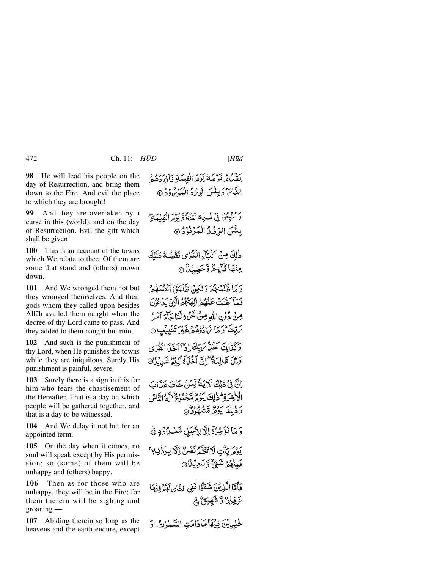**98** He will lead his people on the day of Resurrection, and bring them down to the Fire. And evil the place to which they are brought!

**99** And they are overtaken by a curse in this (world), and on the day of Resurrection. Evil the gift which shall be given!

**100** This is an account of the towns which We relate to thee. Of them are some that stand and (others) mown down.

**101** And We wronged them not but they wronged themselves. And their gods whom they called upon besides Allåh availed them naught when the decree of thy Lord came to pass. And they added to them naught but ruin.

**102** And such is the punishment of thy Lord, when He punishes the towns while they are iniquitous. Surely His punishment is painful, severe.

**103** Surely there is a sign in this for him who fears the chastisement of the Hereafter. That is a day on which people will be gathered together, and that is a day to be witnessed.

**104** And We delay it not but for an appointed term.

**105** On the day when it comes, no soul will speak except by His permission; so (some) of them will be unhappy and (others) happy.

**106** Then as for those who are unhappy, they will be in the Fire; for them therein will be sighing and groaning —

**107** Abiding therein so long as the heavens and the earth endure, except وَأَتَّبِعُوْا فِي هٰ بِيهِ لَعْنَةً وَيَوْمَ الْقِبْبَةَ \* بِئْسَ الرِّفْكُ الْمَرْفَرْدُ @

ذٰلِكَ مِنْ أَنْكَاءِ الْقُرْى نَقُصُّهُ عَلَيْكَ مِنْهَا قَالِحٌ وَّحَصِبُنَّ @

وَ مَا ظَلَمْنَهُمْ وَلَٰكِينْ ظَلَمْؤَا اَنْفُسَهُمْ فَيَمَأْ آغَنتُ عَنْصُعْ الصَّلَوْ الَّتِي بِيدِءٍ وَدِيرٍ مِنْ دُوۡنِ اللَّهِ مِنۡ شَيۡ ۚ لَّمَآ مَاۤءَ آمُهُ ۚ بر تبلڪ<sup>ا</sup> دي مارادگره دي بريز تنديب @ وَكَنْزِلِكَ آخَنْ مَ تِكْ إِذَآ آخَنَ الْقُرْي وَهِيَ ظَالِمَةٌ إِنَّ آخَنَةَ آلِيْمُ شَيِينِيْنَ الْمُحَمَّدُونَ

إِنَّ فِي ذٰلِكَ لَأَيَةً لِّيَنَّ لِّمَنَّ خَاتَ عَذَات الْاخْدَةِ لِمْ ذٰلِكَ يَدَمُّ مَّجْمُوعٌ لِلَّهُ النَّاسُ رَذٰلِكَ يَوَثَرُ مِّشْهُودُ ۞

وَ مَا نُؤَخِّرُ ۚ إِلَّا لِأَجَلِ مَّعۡ لَ دِ ﴾

بِرُمَ بِأَتِ لَا تَكَلَّمُ نَفْسٌ إِلَّا بِإِذْنِهِ ۚ فَمِنْهُمْ شَعِّيٌّ وَ سَعِيْكُ ۞

فَأَمَّا الَّذِينَ شَقَوْا فَفِي النَّاسِ لَهُ وَفِيهَا مَ فِيْرٌ وَشَهِيْقٌ ﴾

لْحَلِيْلِيْنَ فِيُهَا مَادَامَتِ السَّمْوٰتُ وَ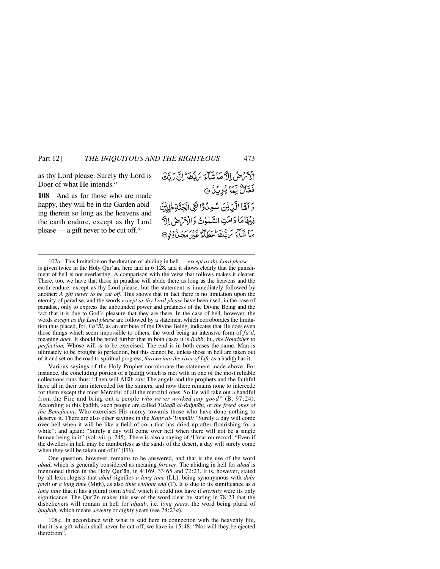as thy Lord please. Surely thy Lord is Doer of what He intends.*<sup>a</sup>*

**108** And as for those who are made happy, they will be in the Garden abiding therein so long as the heavens and the earth endure, except as thy Lord please — a gift never to be cut off.*<sup>a</sup>*

الْأَمَرُ حِيثَ إِلاَّ مَا شَآءَ يَرَبَّكَ مِنْ إِنَّ دَيَّكَ فَعَّالٌ لِّمَا يُرِيْنُ۞ وَ آَمَّا الَّذِيْنَ سُعِدُوْا فَفِي الْجَنَّةِ لِهِيْنَ فِيُهَامَا دَامَتِ السَّلْوٰتُ وَالْأَمْرَضُ إِلَّ مَا شَبْكَرَ سَنَّكَ عَظَماً كَمَعْ يَدْرَبَّهِ مَجِينٌ دُفِرْ @

107*a.* This limitation on the duration of abiding in hell — *except as thy Lord please* is given twice in the Holy Qur'ån, here and in 6:128, and it shows clearly that the punishment of hell is not everlasting. A comparison with the verse that follows makes it clearer. There, too, we have that those in paradise will abide there as long as the heavens and the earth endure, except as thy Lord please, but the statement is immediately followed by another: *A gift never to be cut off*. This shows that in fact there is no limitation upon the eternity of paradise, and the words *except as thy Lord please* have been used, in the case of paradise, only to express the unbounded power and greatness of the Divine Being and the fact that it is due to God's pleasure that they are there. In the case of hell, however, the words *except as thy Lord please* are followed by a statement which corroborates the limitation thus placed, for, *Fa"ål*, as an attribute of the Divine Being, indicates that He does even those things which seem impossible to others, the word being an intensive form of *få'ßl*, meaning *doer*. It should be noted further that in both cases it is *Rabb*, lit., *the Nourisher to perfection,* Whose will is to be exercised. The end is in both cases the same. Man is ultimately to be brought to perfection, but this cannot be, unless those in hell are taken out of it and set on the road to spiritual progress, *thrown into the river of Life* as a hadith has it.

Various sayings of the Holy Prophet corroborate the statement made above. For instance, the concluding portion of a hadith which is met with in one of the most reliable collections runs thus: "Then will Allåh say: The angels and the prophets and the faithful have all in their turn interceded for the sinners, and now there remains none to intercede for them except the most Merciful of all the merciful ones. So He will take out a handful from the Fire and bring out a people *who never worked any good"* (B. 97:24). According to this hadith, such people are called *Tulaqā al-Rahmān*, or the freed ones of *the Beneficent,* Who exercises His mercy towards those who have done nothing to deserve it. There are also other sayings in the *Kanz al-'Ummål:* "Surely a day will come over hell when it will be like a field of corn that has dried up after flourishing for a while"; and again: "Surely a day will come over hell when there will not be a single human being in it" (vol. vii, p. 245). There is also a saying of 'Umar on record: "Even if the dwellers in hell may be numberless as the sands of the desert, a day will surely come when they will be taken out of it" (FB).

One question, however, remains to be answered, and that is the use of the word *abad*, which is generally considered as meaning *forever*. The abiding in hell for *abad* is mentioned thrice in the Holy Qur'ån, in 4:169, 33:65 and 72:23. It is, however, stated by all lexicologists that *abad* signifies *a long time* (LL), being synonymous with *dahr ∆awßl* or *a long time* (Mgh), as also *time without end* (T). It is due to its significance as *a long time* that it has a plural form *åbåd,* which it could not have if *eternity* were its only significance. The Qur'ån makes this use of the word clear by stating in 78:23 that the disbelievers will remain in hell for *aƒqåb,* i.e. *long years,* the word being plural of *ƒuqbah,* which means *seventy* or *eighty* years (see 78:23*a*).

108*a.* In accordance with what is said here in connection with the heavenly life, that it is a gift which shall never be cut off, we have in 15:48: "Nor will they be ejected therefrom".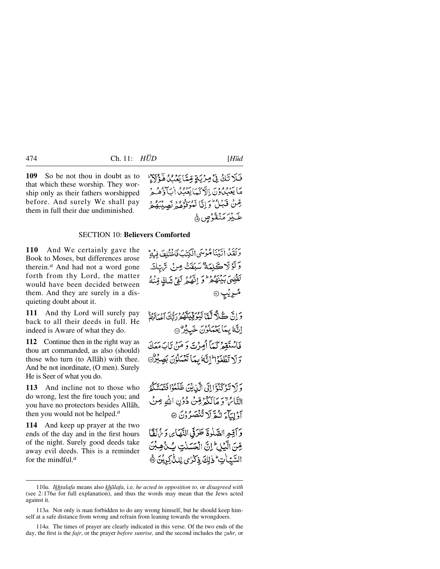**109** So be not thou in doubt as to that which these worship. They worship only as their fathers worshipped before. And surely We shall pay them in full their due undiminished.

فَلَا تَكُ فِي مِرْيَةٍ مِّيَّا يَعْنُ لَمَؤْلَاَءٍ مَا يَعْبُدُونَ الْأَدْيَبَابِعَيْبُ أَيَا أَنَّ ذَهُمُهُ ۚ مِّنْ قَبَلُ وَإِنَّا لَمُوَفَّوُهُمْ نَصِيْبَهُمْ *ۼ*ٙ؉ۣڒۄؘڹٛڦۯڝؚ؋

# SECTION 10: **Believers Comforted**

**110** And We certainly gave the Book to Moses, but differences arose therein.*<sup>a</sup>* And had not a word gone forth from thy Lord, the matter would have been decided between them. And they are surely in a disquieting doubt about it.

**111** And thy Lord will surely pay back to all their deeds in full. He indeed is Aware of what they do.

**112** Continue then in the right way as thou art commanded, as also (should) those who turn (to Allåh) with thee. And be not inordinate, (O men). Surely He is Seer of what you do.

**113** And incline not to those who do wrong, lest the fire touch you; and you have no protectors besides Allåh, then you would not be helped.*<sup>a</sup>*

**114** And keep up prayer at the two ends of the day and in the first hours of the night. Surely good deeds take away evil deeds. This is a reminder for the mindful.*<sup>a</sup>*

وَلَقَدْ اٰتَيۡنَاهُوۡسَى الۡكِنۡبَ فَاخۡتُلُفَ فِيۡةٌ وَلَوْلَاكَلِمَةٌ سَبَقَتْ مِنْ تَرْتِكَ لَقَضِيَ بَيْنَهُمْ وَلَمْ تَهْمُ لَوْمٍ شَكِّ مِّنْهُ مُريُب ۞

وَإِنَّ كُلَّا لَّتَا لَيْوَقِيَةٌ مِدْرِدًا بِرِينَ وَلَيْهِ ۖ اللَّهُ بِمَا يَعْمَلُونَ خَبِيْرٌ @ فَأَسْتَقِعْ كَمَآ أَمِرۡتَ وَ مَنۡ تَابَ مَعَكَ وَلَا تَطْغَوْاْ إِنَّهُ بِيِّيَا تَعْيَادُونَ بَصِيْرُ @

وَ أَ\ تَدْ كَنْؤَا إِلَى الَّذِينَ ظَلَمْوْا فَتَبَسَّلَّهُم التَّائِرُ ٌ وَ مَا لَكُوْمِ تِّنْ دُوۡنِ اللَّهِ مِنۡ آوْلِيَآءَ نَثْقَرِ لَا تُنْصَرُوْنَ ۞ وَأَقِيمِ الصَّلْوَةَ طَرَقِي النَّهَايِ وَيُهَلَّقَا مِّنَ الَّيْلِ إِنَّ الْحَسَنٰتِ بِّنْهِ بِنَ السَّيِّبَاٰتِ ۖ ذٰلِكَ ذِكْرُى لِلدُّٰكِرِيْنَ ۞

114*a.* The times of prayer are clearly indicated in this verse. Of the two ends of the day, the first is the *fajr*, or the prayer *before sunrise*, and the second includes the *zuhr*, or

<sup>110</sup>*a. Ikhtalafa* means also *khålafa,* i.e. *he acted in opposition to,* or *disagreed with* (see 2:176*a* for full explanation), and thus the words may mean that the Jews acted against it.

<sup>113</sup>*a.* Not only is man forbidden to do any wrong himself, but he should keep himself at a safe distance from wrong and refrain from leaning towards the wrongdoers.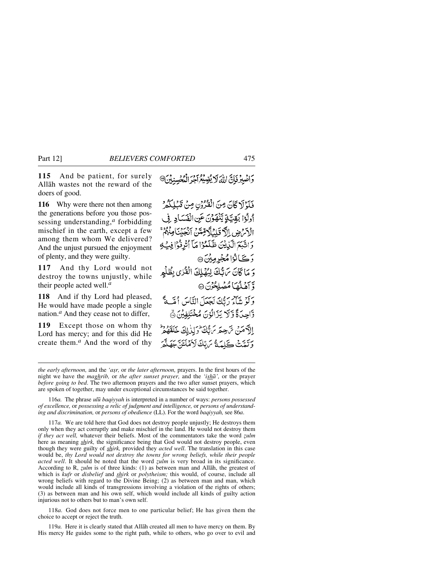**115** And be patient, for surely Allåh wastes not the reward of the doers of good.

**116** Why were there not then among the generations before you those possessing understanding,*<sup>a</sup>* forbidding mischief in the earth, except a few among them whom We delivered? And the unjust pursued the enjoyment of plenty, and they were guilty.

**117** And thy Lord would not destroy the towns unjustly, while their people acted well.*<sup>a</sup>*

**118** And if thy Lord had pleased, He would have made people a single nation.*<sup>a</sup>* And they cease not to differ,

**119** Except those on whom thy Lord has mercy; and for this did He create them.*<sup>a</sup>* And the word of thy وَاصْبِرْ فَإِنَّ اللَّهَ لَا يُضِيِّعُ أَجْرَ الْمُجْسِنِيْنَ®

فَلَوْلَا كَانَ مِنَ الْفُرُوُنِ مِنْ قَبْلِكُمْ أُولُوْا بَقِيَّةٍ يَّنْهَوْنَ عَنِ الْفَسَادِ فِي الْأَمْرَضِ الْآَقَلِيْلَآدَتِّينَ أَنْجَيْنَا مِنْهُمْ ۚ دَاتَّبَعَ الَّذِينَ ظَلَّمُوْا مَآ أَتُرِفُوْا فِيَهِ **دَڪَ**انُوْامُ جُرِمِيْنَ ۞ وَ مَا كَانَ تَرَبُّكَ لِيُهْلِكَ الْقُرْىِ بِظُلْهِ وَّ آهَلُهَاَ مُصْلِحُونَ @ وَكَوْ شَبْكَهُ رَبُّكَ لَجَعَلَ النَّاسَ أُمَّسَةً وَّاحِدَةً وَّلَا يَزَالُوْنَ مُخْتَلِفِيْنَ ﴾ الآهَنْ تَرْجِعَهِ بَرَّبَّكَ وَلِذٰلِكَ خَلَقَهُمْ وَتَدَيَّنَ كَيْمَةً سَبِّكَ لَأَهْلَئَةً جَهَنَّهَ

116*a.* The phrase *ul∂ baqiyyah* is interpreted in a number of ways: *persons possessed of excellence,* or *possessing a relic of judgment and intelligence,* or *persons of understanding and discrimination,* or *persons of obedience* (LL). For the word *baqiyyah,* see 86*a*.

117*a.* We are told here that God does not destroy people unjustly; He destroys them only when they act corruptly and make mischief in the land. He would not destroy them *if they act well,* whatever their beliefs. Most of the commentators take the word *zulm* here as meaning *shirk,* the significance being that God would not destroy people, even though they were guilty of *shirk,* provided they *acted well*. The translation in this case would be, *thy Lord would not destroy the towns for wrong beliefs, while their people acted well*. It should be noted that the word *zulm* is very broad in its significance. According to R, *zulm* is of three kinds: (1) as between man and Allāh, the greatest of which is *kufr* or *disbelief* and *shirk* or *polytheism;* this would, of course, include all wrong beliefs with regard to the Divine Being; (2) as between man and man, which would include all kinds of transgressions involving a violation of the rights of others; (3) as between man and his own self, which would include all kinds of guilty action injurious not to others but to man's own self.

118*a.* God does not force men to one particular belief; He has given them the choice to accept or reject the truth.

119*a.* Here it is clearly stated that Allåh created all men to have mercy on them. By His mercy He guides some to the right path, while to others, who go over to evil and

*the early afternoon,* and the 'aşr, or *the later afternoon*, prayers. In the first hours of the night we have the *maghrib,* or *the after sunset prayer,* and the *'ishå',* or the prayer *before going to bed*. The two afternoon prayers and the two after sunset prayers, which are spoken of together, may under exceptional circumstances be said together.